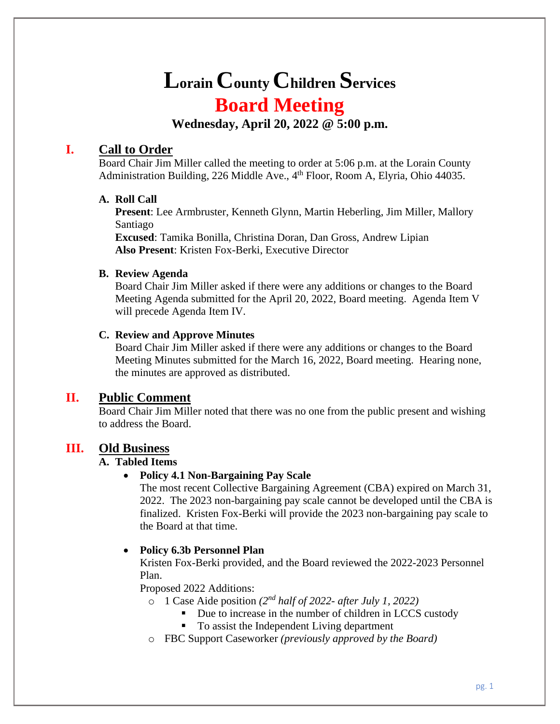# **Lorain County Children Services Board Meeting**

**Wednesday, April 20, 2022 @ 5:00 p.m.**

# **I. Call to Order**

Board Chair Jim Miller called the meeting to order at 5:06 p.m. at the Lorain County Administration Building, 226 Middle Ave., 4<sup>th</sup> Floor, Room A, Elyria, Ohio 44035.

# **A. Roll Call**

**Present**: Lee Armbruster, Kenneth Glynn, Martin Heberling, Jim Miller, Mallory Santiago

**Excused**: Tamika Bonilla, Christina Doran, Dan Gross, Andrew Lipian **Also Present**: Kristen Fox-Berki, Executive Director

## **B. Review Agenda**

Board Chair Jim Miller asked if there were any additions or changes to the Board Meeting Agenda submitted for the April 20, 2022, Board meeting. Agenda Item V will precede Agenda Item IV.

# **C. Review and Approve Minutes**

Board Chair Jim Miller asked if there were any additions or changes to the Board Meeting Minutes submitted for the March 16, 2022, Board meeting. Hearing none, the minutes are approved as distributed.

# **II. Public Comment**

Board Chair Jim Miller noted that there was no one from the public present and wishing to address the Board.

# **III. Old Business**

# **A. Tabled Items**

# • **Policy 4.1 Non-Bargaining Pay Scale**

The most recent Collective Bargaining Agreement (CBA) expired on March 31, 2022. The 2023 non-bargaining pay scale cannot be developed until the CBA is finalized. Kristen Fox-Berki will provide the 2023 non-bargaining pay scale to the Board at that time.

# • **Policy 6.3b Personnel Plan**

Kristen Fox-Berki provided, and the Board reviewed the 2022-2023 Personnel Plan.

Proposed 2022 Additions:

- o 1 Case Aide position *(2 nd half of 2022- after July 1, 2022)*
	- Due to increase in the number of children in LCCS custody
	- To assist the Independent Living department
- o FBC Support Caseworker *(previously approved by the Board)*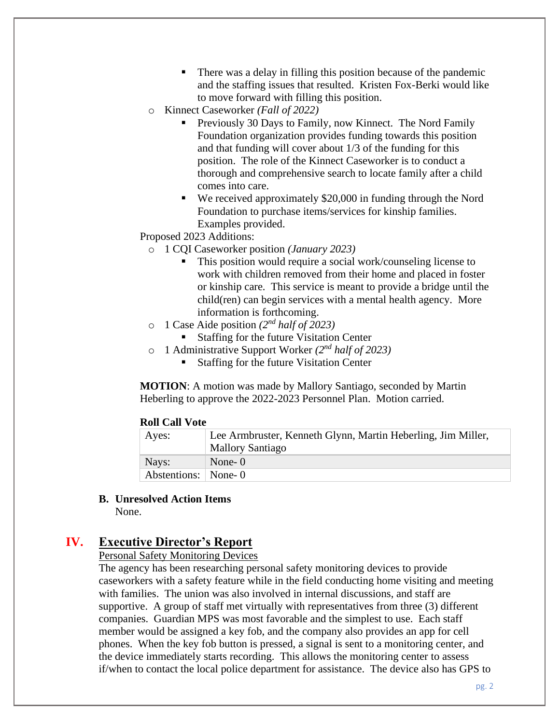- There was a delay in filling this position because of the pandemic and the staffing issues that resulted. Kristen Fox-Berki would like to move forward with filling this position.
- o Kinnect Caseworker *(Fall of 2022)*
	- Previously 30 Days to Family, now Kinnect. The Nord Family Foundation organization provides funding towards this position and that funding will cover about 1/3 of the funding for this position. The role of the Kinnect Caseworker is to conduct a thorough and comprehensive search to locate family after a child comes into care.
	- We received approximately \$20,000 in funding through the Nord Foundation to purchase items/services for kinship families. Examples provided.

Proposed 2023 Additions:

- o 1 CQI Caseworker position *(January 2023)*
	- This position would require a social work/counseling license to work with children removed from their home and placed in foster or kinship care. This service is meant to provide a bridge until the child(ren) can begin services with a mental health agency. More information is forthcoming.
- $\circ$  1 Case Aide position (2<sup>nd</sup> half of 2023)
	- Staffing for the future Visitation Center
- o 1 Administrative Support Worker *(2nd half of 2023)*
	- Staffing for the future Visitation Center

**MOTION**: A motion was made by Mallory Santiago, seconded by Martin Heberling to approve the 2022-2023 Personnel Plan. Motion carried.

#### **Roll Call Vote**

| Aves:               | Lee Armbruster, Kenneth Glynn, Martin Heberling, Jim Miller, |
|---------------------|--------------------------------------------------------------|
|                     | <b>Mallory Santiago</b>                                      |
| Nays:               | None-0                                                       |
| Abstentions: None-0 |                                                              |

**B. Unresolved Action Items**

None.

# **IV. Executive Director's Report**

#### Personal Safety Monitoring Devices

The agency has been researching personal safety monitoring devices to provide caseworkers with a safety feature while in the field conducting home visiting and meeting with families. The union was also involved in internal discussions, and staff are supportive. A group of staff met virtually with representatives from three (3) different companies. Guardian MPS was most favorable and the simplest to use. Each staff member would be assigned a key fob, and the company also provides an app for cell phones. When the key fob button is pressed, a signal is sent to a monitoring center, and the device immediately starts recording. This allows the monitoring center to assess if/when to contact the local police department for assistance. The device also has GPS to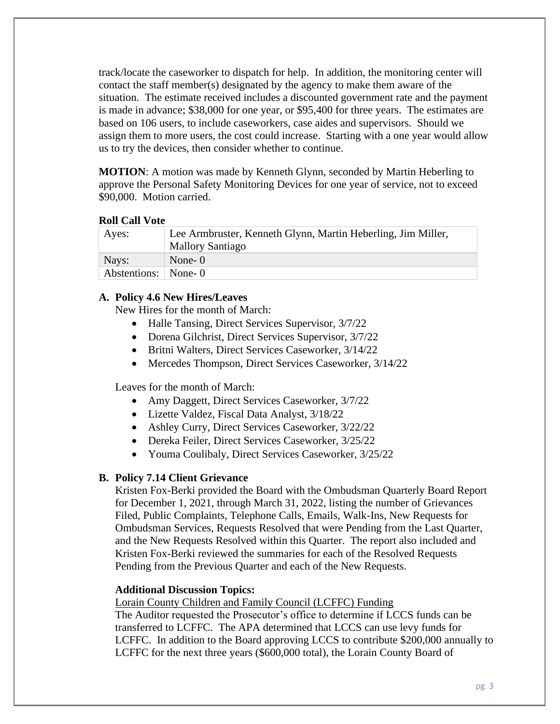track/locate the caseworker to dispatch for help. In addition, the monitoring center will contact the staff member(s) designated by the agency to make them aware of the situation. The estimate received includes a discounted government rate and the payment is made in advance; \$38,000 for one year, or \$95,400 for three years. The estimates are based on 106 users, to include caseworkers, case aides and supervisors. Should we assign them to more users, the cost could increase. Starting with a one year would allow us to try the devices, then consider whether to continue.

**MOTION**: A motion was made by Kenneth Glynn, seconded by Martin Heberling to approve the Personal Safety Monitoring Devices for one year of service, not to exceed \$90,000. Motion carried.

#### **Roll Call Vote**

| Ayes:                 | Lee Armbruster, Kenneth Glynn, Martin Heberling, Jim Miller, |
|-----------------------|--------------------------------------------------------------|
|                       | <b>Mallory Santiago</b>                                      |
| Nays:                 | None- $0$                                                    |
| Abstentions:   None-0 |                                                              |

#### **A. Policy 4.6 New Hires/Leaves**

New Hires for the month of March:

- Halle Tansing, Direct Services Supervisor,  $3/7/22$
- Dorena Gilchrist, Direct Services Supervisor, 3/7/22
- Britni Walters, Direct Services Caseworker, 3/14/22
- Mercedes Thompson, Direct Services Caseworker, 3/14/22

Leaves for the month of March:

- Amy Daggett, Direct Services Caseworker, 3/7/22
- Lizette Valdez, Fiscal Data Analyst, 3/18/22
- Ashley Curry, Direct Services Caseworker, 3/22/22
- Dereka Feiler, Direct Services Caseworker, 3/25/22
- Youma Coulibaly, Direct Services Caseworker, 3/25/22

#### **B. Policy 7.14 Client Grievance**

Kristen Fox-Berki provided the Board with the Ombudsman Quarterly Board Report for December 1, 2021, through March 31, 2022, listing the number of Grievances Filed, Public Complaints, Telephone Calls, Emails, Walk-Ins, New Requests for Ombudsman Services, Requests Resolved that were Pending from the Last Quarter, and the New Requests Resolved within this Quarter. The report also included and Kristen Fox-Berki reviewed the summaries for each of the Resolved Requests Pending from the Previous Quarter and each of the New Requests.

#### **Additional Discussion Topics:**

Lorain County Children and Family Council (LCFFC) Funding

The Auditor requested the Prosecutor's office to determine if LCCS funds can be transferred to LCFFC. The APA determined that LCCS can use levy funds for LCFFC. In addition to the Board approving LCCS to contribute \$200,000 annually to LCFFC for the next three years (\$600,000 total), the Lorain County Board of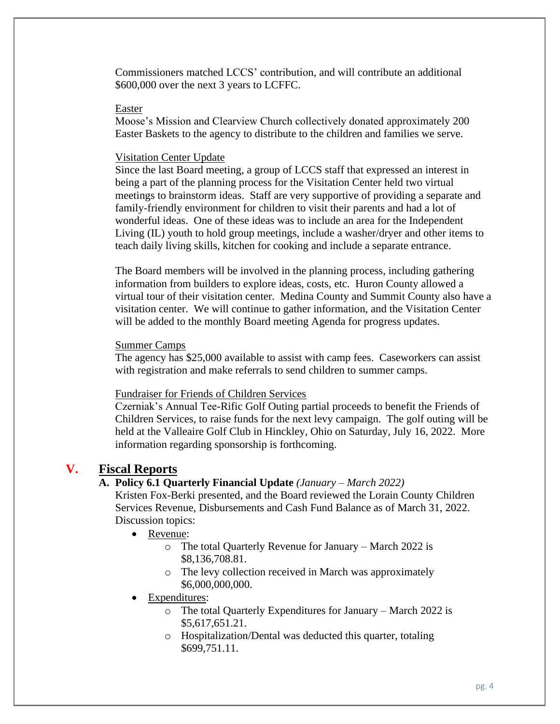Commissioners matched LCCS' contribution, and will contribute an additional \$600,000 over the next 3 years to LCFFC.

#### Easter

Moose's Mission and Clearview Church collectively donated approximately 200 Easter Baskets to the agency to distribute to the children and families we serve.

#### Visitation Center Update

Since the last Board meeting, a group of LCCS staff that expressed an interest in being a part of the planning process for the Visitation Center held two virtual meetings to brainstorm ideas. Staff are very supportive of providing a separate and family-friendly environment for children to visit their parents and had a lot of wonderful ideas. One of these ideas was to include an area for the Independent Living (IL) youth to hold group meetings, include a washer/dryer and other items to teach daily living skills, kitchen for cooking and include a separate entrance.

The Board members will be involved in the planning process, including gathering information from builders to explore ideas, costs, etc. Huron County allowed a virtual tour of their visitation center. Medina County and Summit County also have a visitation center. We will continue to gather information, and the Visitation Center will be added to the monthly Board meeting Agenda for progress updates.

#### Summer Camps

The agency has \$25,000 available to assist with camp fees. Caseworkers can assist with registration and make referrals to send children to summer camps.

#### Fundraiser for Friends of Children Services

Czerniak's Annual Tee-Rific Golf Outing partial proceeds to benefit the Friends of Children Services, to raise funds for the next levy campaign. The golf outing will be held at the Valleaire Golf Club in Hinckley, Ohio on Saturday, July 16, 2022. More information regarding sponsorship is forthcoming.

# **V. Fiscal Reports**

## **A. Policy 6.1 Quarterly Financial Update** *(January – March 2022)*

Kristen Fox-Berki presented, and the Board reviewed the Lorain County Children Services Revenue, Disbursements and Cash Fund Balance as of March 31, 2022. Discussion topics:

- Revenue:
	- o The total Quarterly Revenue for January March 2022 is \$8,136,708.81.
	- o The levy collection received in March was approximately \$6,000,000,000.
- Expenditures:
	- o The total Quarterly Expenditures for January March 2022 is \$5,617,651.21.
	- o Hospitalization/Dental was deducted this quarter, totaling \$699,751.11.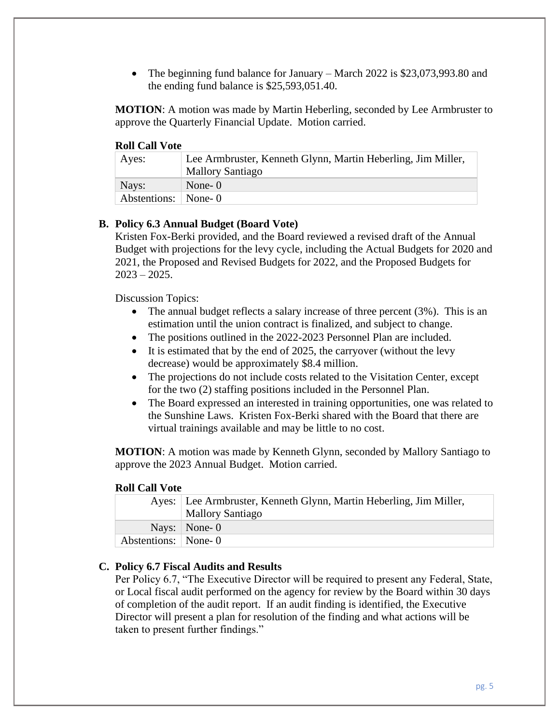• The beginning fund balance for January – March 2022 is \$23,073,993.80 and the ending fund balance is \$25,593,051.40.

**MOTION**: A motion was made by Martin Heberling, seconded by Lee Armbruster to approve the Quarterly Financial Update. Motion carried.

#### **Roll Call Vote**

| Ayes:                 | Lee Armbruster, Kenneth Glynn, Martin Heberling, Jim Miller,<br><b>Mallory Santiago</b> |
|-----------------------|-----------------------------------------------------------------------------------------|
| Nays:                 | None- $0$                                                                               |
| Abstentions:   None-0 |                                                                                         |

#### **B. Policy 6.3 Annual Budget (Board Vote)**

Kristen Fox-Berki provided, and the Board reviewed a revised draft of the Annual Budget with projections for the levy cycle, including the Actual Budgets for 2020 and 2021, the Proposed and Revised Budgets for 2022, and the Proposed Budgets for  $2023 - 2025$ .

Discussion Topics:

- The annual budget reflects a salary increase of three percent (3%). This is an estimation until the union contract is finalized, and subject to change.
- The positions outlined in the 2022-2023 Personnel Plan are included.
- It is estimated that by the end of 2025, the carryover (without the levy decrease) would be approximately \$8.4 million.
- The projections do not include costs related to the Visitation Center, except for the two (2) staffing positions included in the Personnel Plan.
- The Board expressed an interested in training opportunities, one was related to the Sunshine Laws. Kristen Fox-Berki shared with the Board that there are virtual trainings available and may be little to no cost.

**MOTION**: A motion was made by Kenneth Glynn, seconded by Mallory Santiago to approve the 2023 Annual Budget. Motion carried.

#### **Roll Call Vote**

|                     | Ayes:   Lee Armbruster, Kenneth Glynn, Martin Heberling, Jim Miller,<br><b>Mallory Santiago</b> |
|---------------------|-------------------------------------------------------------------------------------------------|
|                     | Nays: $\vert$ None-0                                                                            |
| Abstentions: None-0 |                                                                                                 |

#### **C. Policy 6.7 Fiscal Audits and Results**

Per Policy 6.7, "The Executive Director will be required to present any Federal, State, or Local fiscal audit performed on the agency for review by the Board within 30 days of completion of the audit report. If an audit finding is identified, the Executive Director will present a plan for resolution of the finding and what actions will be taken to present further findings."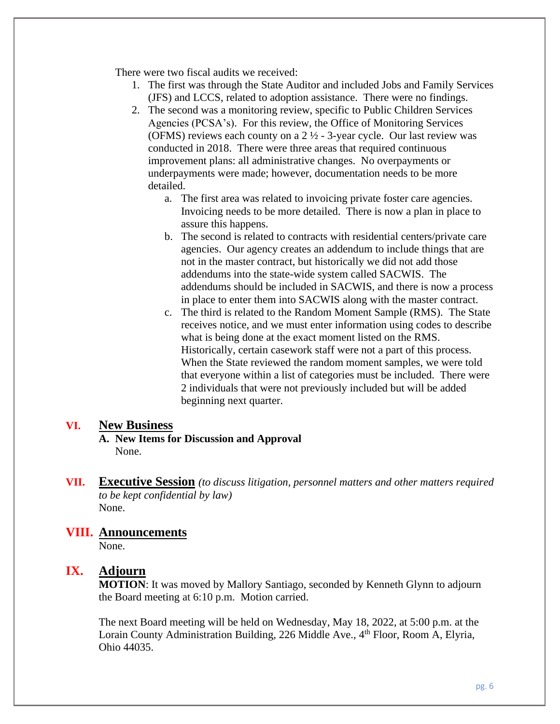There were two fiscal audits we received:

- 1. The first was through the State Auditor and included Jobs and Family Services (JFS) and LCCS, related to adoption assistance. There were no findings.
- 2. The second was a monitoring review, specific to Public Children Services Agencies (PCSA's). For this review, the Office of Monitoring Services (OFMS) reviews each county on a  $2\frac{1}{2}$  - 3-year cycle. Our last review was conducted in 2018. There were three areas that required continuous improvement plans: all administrative changes. No overpayments or underpayments were made; however, documentation needs to be more detailed.
	- a. The first area was related to invoicing private foster care agencies. Invoicing needs to be more detailed. There is now a plan in place to assure this happens.
	- b. The second is related to contracts with residential centers/private care agencies. Our agency creates an addendum to include things that are not in the master contract, but historically we did not add those addendums into the state-wide system called SACWIS. The addendums should be included in SACWIS, and there is now a process in place to enter them into SACWIS along with the master contract.
	- c. The third is related to the Random Moment Sample (RMS). The State receives notice, and we must enter information using codes to describe what is being done at the exact moment listed on the RMS. Historically, certain casework staff were not a part of this process. When the State reviewed the random moment samples, we were told that everyone within a list of categories must be included. There were 2 individuals that were not previously included but will be added beginning next quarter.

#### **VI. New Business**

- **A. New Items for Discussion and Approval** None.
- **VII. Executive Session** *(to discuss litigation, personnel matters and other matters required to be kept confidential by law)* None.

# **VIII. Announcements**

None.

# **IX. Adjourn**

**MOTION**: It was moved by Mallory Santiago, seconded by Kenneth Glynn to adjourn the Board meeting at 6:10 p.m. Motion carried.

The next Board meeting will be held on Wednesday, May 18, 2022, at 5:00 p.m. at the Lorain County Administration Building, 226 Middle Ave., 4<sup>th</sup> Floor, Room A, Elvria, Ohio 44035.